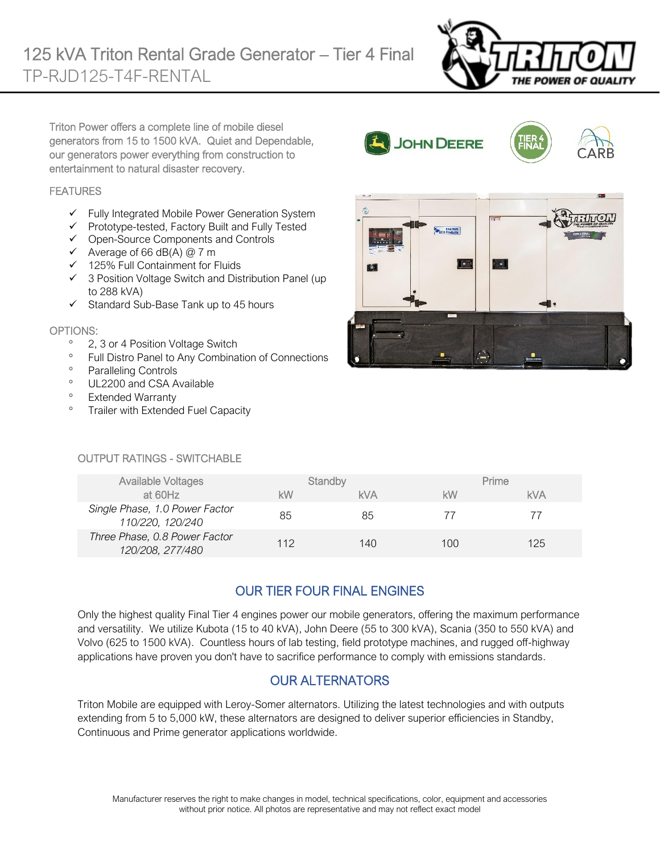

Triton Power offers a complete line of mobile diesel generators from 15 to 1500 kVA. Quiet and Dependable, our generators power everything from construction to entertainment to natural disaster recovery.

#### **FEATURES**

- $\checkmark$  Fully Integrated Mobile Power Generation System
- ✓ Prototype-tested, Factory Built and Fully Tested
- $\checkmark$  Open-Source Components and Controls
- $\checkmark$  Average of 66 dB(A) @ 7 m
- ✓ 125% Full Containment for Fluids
- ✓ 3 Position Voltage Switch and Distribution Panel (up to 288 kVA)
- ✓ Standard Sub-Base Tank up to 45 hours

#### OPTIONS:

- <sup>o</sup> 2, 3 or 4 Position Voltage Switch
- <sup>o</sup> Full Distro Panel to Any Combination of Connections
- <sup>o</sup> Paralleling Controls
- <sup>o</sup> UL2200 and CSA Available
- <sup>o</sup> Extended Warranty
- <sup>o</sup> Trailer with Extended Fuel Capacity



JOHN DEERE

#### OUTPUT RATINGS - SWITCHABLE

| <b>Available Voltages</b>                          | Standby |            |     | Prime      |
|----------------------------------------------------|---------|------------|-----|------------|
| at 60Hz                                            | kW      | <b>kVA</b> | kW  | <b>kVA</b> |
| Single Phase, 1.0 Power Factor<br>110/220, 120/240 | 85      | 85         | 77  |            |
| Three Phase, 0.8 Power Factor<br>120/208, 277/480  | 112     | 140        | 100 | 125        |

## OUR TIER FOUR FINAL ENGINES

Only the highest quality Final Tier 4 engines power our mobile generators, offering the maximum performance and versatility. We utilize Kubota (15 to 40 kVA), John Deere (55 to 300 kVA), Scania (350 to 550 kVA) and Volvo (625 to 1500 kVA). Countless hours of lab testing, field prototype machines, and rugged off-highway applications have proven you don't have to sacrifice performance to comply with emissions standards.

### OUR ALTERNATORS

Triton Mobile are equipped with Leroy-Somer alternators. Utilizing the latest technologies and with outputs extending from 5 to 5,000 kW, these alternators are designed to deliver superior efficiencies in Standby, Continuous and Prime generator applications worldwide.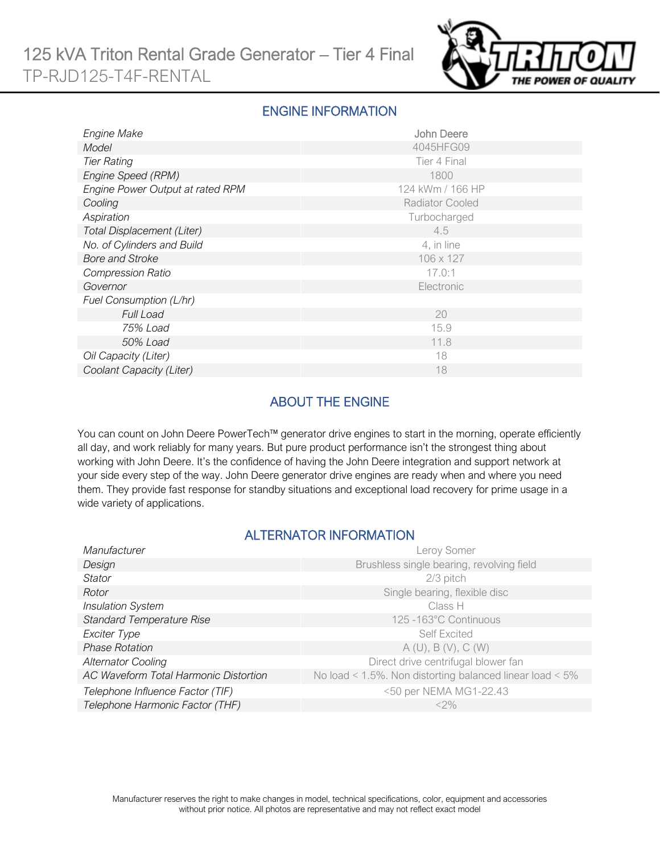

#### ENGINE INFORMATION

| <b>Engine Make</b>               | John Deere             |
|----------------------------------|------------------------|
| Model                            | 4045HFG09              |
| <b>Tier Rating</b>               | Tier 4 Final           |
| Engine Speed (RPM)               | 1800                   |
| Engine Power Output at rated RPM | 124 kWm / 166 HP       |
| Cooling                          | <b>Radiator Cooled</b> |
| Aspiration                       | Turbocharged           |
| Total Displacement (Liter)       | 4.5                    |
| No. of Cylinders and Build       | 4, in line             |
| <b>Bore and Stroke</b>           | 106 x 127              |
| <b>Compression Ratio</b>         | 17.0:1                 |
| Governor                         | Electronic             |
| Fuel Consumption (L/hr)          |                        |
| <b>Full Load</b>                 | 20                     |
| 75% Load                         | 15.9                   |
| 50% Load                         | 11.8                   |
| Oil Capacity (Liter)             | 18                     |
| Coolant Capacity (Liter)         | 18                     |

## ABOUT THE ENGINE

You can count on John Deere PowerTech™ generator drive engines to start in the morning, operate efficiently all day, and work reliably for many years. But pure product performance isn't the strongest thing about working with John Deere. It's the confidence of having the John Deere integration and support network at your side every step of the way. John Deere generator drive engines are ready when and where you need them. They provide fast response for standby situations and exceptional load recovery for prime usage in a wide variety of applications.

### ALTERNATOR INFORMATION

| Manufacturer                          | Leroy Somer                                                     |
|---------------------------------------|-----------------------------------------------------------------|
| Design                                | Brushless single bearing, revolving field                       |
| Stator                                | 2/3 pitch                                                       |
| Rotor                                 | Single bearing, flexible disc                                   |
| <b>Insulation System</b>              | Class H                                                         |
| <b>Standard Temperature Rise</b>      | 125 -163°C Continuous                                           |
| Exciter Type                          | <b>Self Excited</b>                                             |
| <b>Phase Rotation</b>                 | A(U), B(V), C(W)                                                |
| <b>Alternator Cooling</b>             | Direct drive centrifugal blower fan                             |
| AC Waveform Total Harmonic Distortion | No load < $1.5\%$ . Non distorting balanced linear load < $5\%$ |
| Telephone Influence Factor (TIF)      | <50 per NEMA MG1-22.43                                          |
| Telephone Harmonic Factor (THF)       | $<$ 2%                                                          |
|                                       |                                                                 |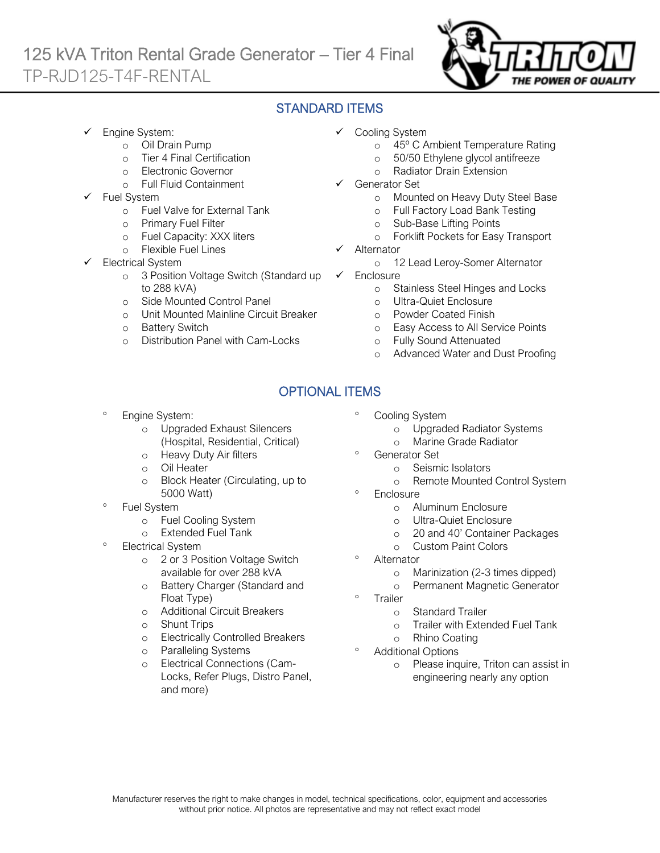# 125 kVA Triton Rental Grade Generator – Tier 4 Final TP-RJD125-T4F-RENTAL



## STANDARD ITEMS

- Engine System:
	- o Oil Drain Pump
	- o Tier 4 Final Certification
	- o Electronic Governor
	- o Full Fluid Containment
- Fuel System
	- o Fuel Valve for External Tank
	- o Primary Fuel Filter
	- o Fuel Capacity: XXX liters
	- o Flexible Fuel Lines
- **Electrical System** 
	- o 3 Position Voltage Switch (Standard up to 288 kVA)
	- o Side Mounted Control Panel
	- o Unit Mounted Mainline Circuit Breaker
	- o Battery Switch
	- o Distribution Panel with Cam-Locks
- ✓ Cooling System
	- o 45º C Ambient Temperature Rating
	- o 50/50 Ethylene glycol antifreeze
	- o Radiator Drain Extension
- Generator Set
	- o Mounted on Heavy Duty Steel Base
	- o Full Factory Load Bank Testing
	- o Sub-Base Lifting Points
	- o Forklift Pockets for Easy Transport
- **Alternator** 
	- o 12 Lead Leroy-Somer Alternator
- ✓ Enclosure
	- o Stainless Steel Hinges and Locks
	- o Ultra-Quiet Enclosure
	- o Powder Coated Finish
	- o Easy Access to All Service Points
	- o Fully Sound Attenuated
	- o Advanced Water and Dust Proofing

## OPTIONAL ITEMS

- Engine System:
	- o Upgraded Exhaust Silencers (Hospital, Residential, Critical)
	- o Heavy Duty Air filters
	- o Oil Heater
	- o Block Heater (Circulating, up to 5000 Watt)
- Fuel System
	- o Fuel Cooling System
	- o Extended Fuel Tank
- Electrical System
	- o 2 or 3 Position Voltage Switch available for over 288 kVA
	- o Battery Charger (Standard and Float Type)
	- o Additional Circuit Breakers
	- o Shunt Trips
	- o Electrically Controlled Breakers
	- o Paralleling Systems
	- o Electrical Connections (Cam-Locks, Refer Plugs, Distro Panel, and more)
- Cooling System
	- o Upgraded Radiator Systems
	- o Marine Grade Radiator
- Generator Set
	- o Seismic Isolators
	- o Remote Mounted Control System
- <sup>o</sup> Enclosure
	- o Aluminum Enclosure
	- o Ultra-Quiet Enclosure
	- o 20 and 40' Container Packages
	- o Custom Paint Colors
- **Alternator** 
	- o Marinization (2-3 times dipped)
	- o Permanent Magnetic Generator
- Trailer
	- o Standard Trailer
	- o Trailer with Extended Fuel Tank
	- o Rhino Coating
- Additional Options
	- o Please inquire, Triton can assist in engineering nearly any option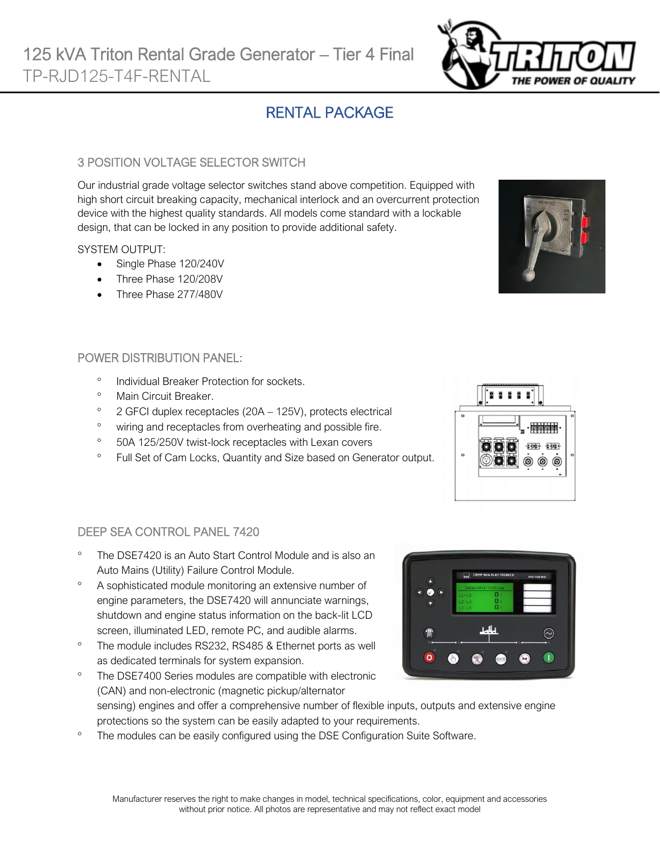# RENTAL PACKAGE

#### 3 POSITION VOLTAGE SELECTOR SWITCH

Our industrial grade voltage selector switches stand above competition. Equipped with high short circuit breaking capacity, mechanical interlock and an overcurrent protection device with the highest quality standards. All models come standard with a lockable design, that can be locked in any position to provide additional safety.

#### SYSTEM OUTPUT:

- Single Phase 120/240V
- Three Phase 120/208V
- Three Phase 277/480V

#### POWER DISTRIBUTION PANEL:

- <sup>o</sup> Individual Breaker Protection for sockets.
- <sup>o</sup> Main Circuit Breaker.
- $\degree$  2 GFCI duplex receptacles (20A 125V), protects electrical
- <sup>o</sup> wiring and receptacles from overheating and possible fire.
- <sup>o</sup> 50A 125/250V twist-lock receptacles with Lexan covers
- <sup>o</sup> Full Set of Cam Locks, Quantity and Size based on Generator output.



- Auto Mains (Utility) Failure Control Module. A sophisticated module monitoring an extensive number of
- engine parameters, the DSE7420 will annunciate warnings, shutdown and engine status information on the back-lit LCD screen, illuminated LED, remote PC, and audible alarms.
- <sup>o</sup> The module includes RS232, RS485 & Ethernet ports as well as dedicated terminals for system expansion.

The DSE7400 Series modules are compatible with electronic

- (CAN) and non-electronic (magnetic pickup/alternator sensing) engines and offer a comprehensive number of flexible inputs, outputs and extensive engine protections so the system can be easily adapted to your requirements.
- <sup>o</sup> The modules can be easily configured using the DSE Configuration Suite Software.